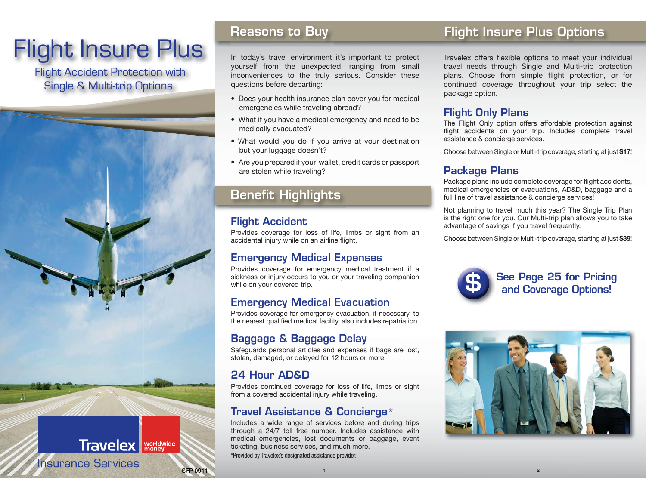# Flight Insure Plus

 Flight Accident Protection with Single & Multi-trip Options

## **Reasons to Buy**

In today's travel environment it's important to protect yourself from the unexpected, ranging from small inconveniences to the truly serious. Consider these questions before departing:

- Does your health insurance plan cover you for medical emergencies while traveling abroad?
- What if you have a medical emergency and need to be medically evacuated?
- What would you do if you arrive at your destination but your luggage doesn't?
- Are you prepared if your wallet, credit cards or passport are stolen while traveling?

## **Benefit Highlights**

## **Flight Accident**

Provides coverage for loss of life, limbs or sight from an accidental injury while on an airline flight.

## **Emergency Medical Expenses**

Provides coverage for emergency medical treatment if a sickness or injury occurs to you or your traveling companion while on your covered trip.

## **Emergency Medical Evacuation**

Provides coverage for emergency evacuation, if necessary, to the nearest qualified medical facility, also includes repatriation.

## **Baggage & Baggage Delay**

Safeguards personal articles and expenses if bags are lost, stolen, damaged, or delayed for 12 hours or more.

## **24 Hour AD&D**

SFP 0911

**Travelex M Morldwide** 

**Insurance Services** 

Provides continued coverage for loss of life, limbs or sight from a covered accidental injury while traveling.

## **Travel Assistance & Concierge**\*

Includes a wide range of services before and during trips through a 24/7 toll free number. Includes assistance with medical emergencies, lost documents or baggage, event ticketing, business services, and much more. \*Provided by Travelex's designated assistance provider.

## **Flight Insure Plus Options**

Travelex offers flexible options to meet your individual travel needs through Single and Multi-trip protection plans. Choose from simple flight protection, or for continued coverage throughout your trip select the package option.

## **Flight Only Plans**

The Flight Only option offers affordable protection against flight accidents on your trip. Includes complete travel assistance & concierge services.

Choose between Single or Multi-trip coverage, starting at just **\$17**!

## **Package Plans**

Package plans include complete coverage for flight accidents, medical emergencies or evacuations, AD&D, baggage and a full line of travel assistance & concierge services!

Not planning to travel much this year? The Single Trip Plan is the right one for you. Our Multi-trip plan allows you to take advantage of savings if you travel frequently.

Choose between Single or Multi-trip coverage, starting at just **\$39**!



**See Page 25 for Pricing and Coverage Options!**



**2**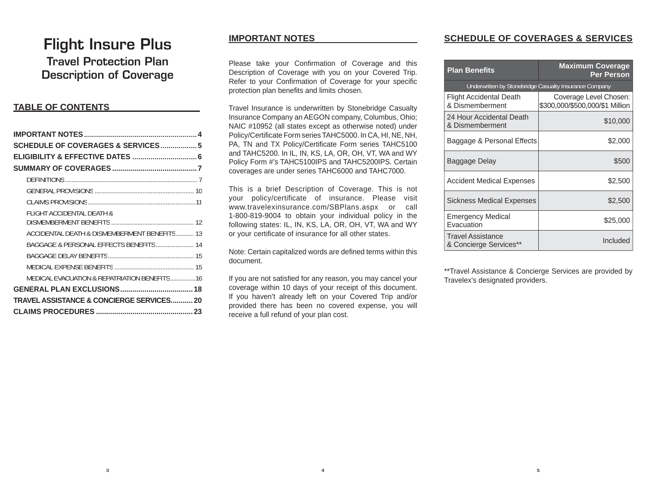## **Flight Insure Plus**

**Travel Protection PlanDescription of Coverage**

### **TABLE OF CONTENTS**

| SCHEDULE OF COVERAGES & SERVICES 5           |  |
|----------------------------------------------|--|
|                                              |  |
|                                              |  |
|                                              |  |
|                                              |  |
|                                              |  |
| FLIGHT ACCIDENTAL DEATH &                    |  |
|                                              |  |
| ACCIDENTAL DEATH & DISMEMBERMENT BENEFITS 13 |  |
|                                              |  |
|                                              |  |
|                                              |  |
| MEDICAL EVACUATION & REPATRIATION BENEFITS16 |  |
|                                              |  |
| TRAVEL ASSISTANCE & CONCIERGE SERVICES 20    |  |
|                                              |  |

## **IMPORTANT NOTES**

Please take your Confirmation of Coverage and this Description of Coverage with you on your Covered Trip. Refer to your Confirmation of Coverage for your specific protection plan benefits and limits chosen.

Travel Insurance is underwritten by Stonebridge Casualty Insurance Company an AEGON company, Columbus, Ohio; NAIC #10952 (all states except as otherwise noted) under Policy/Certificate Form series TAHC5000. In CA, HI, NE, NH, PA, TN and TX Policy/Certificate Form series TAHC5100 and TAHC5200. In IL, IN, KS, LA, OR, OH, VT, WA and WY Policy Form #'s TAHC5100IPS and TAHC5200IPS. Certain coverages are under series TAHC6000 and TAHC7000.

This is a brief Description of Coverage. This is not your policy/certificate of insurance. Please visit www.travelexinsurance.com/SBPlans.aspx or call 1-800-819-9004 to obtain your individual policy in the following states: IL, IN, KS, LA, OR, OH, VT, WA and WY or your certificate of insurance for all other states.

Note: Certain capitalized words are defined terms within this document.

If you are not satisfied for any reason, you may cancel your coverage within 10 days of your receipt of this document. If you haven't already left on your Covered Trip and/or provided there has been no covered expense, you will receive a full refund of your plan cost.

## **SCHEDULE OF COVERAGES & SERVICES**

| <b>Plan Benefits</b>                        | <b>Maximum Coverage</b><br><b>Per Person</b>              |
|---------------------------------------------|-----------------------------------------------------------|
|                                             | Underwritten by Stonebridge Casualty Insurance Company    |
| Flight Accidental Death<br>& Dismemberment  | Coverage Level Chosen:<br>\$300,000/\$500,000/\$1 Million |
| 24 Hour Accidental Death<br>& Dismemberment | \$10,000                                                  |
| Baggage & Personal Effects                  | \$2,000                                                   |
| Baggage Delay                               | \$500                                                     |
| <b>Accident Medical Expenses</b>            | \$2,500                                                   |
| Sickness Medical Expenses                   | \$2,500                                                   |
| Emergency Medical<br>Evacuation             | \$25,000                                                  |
| Travel Assistance<br>& Concierge Services** | Included                                                  |

\*\*Travel Assistance & Concierge Services are provided by Travelex's designated providers.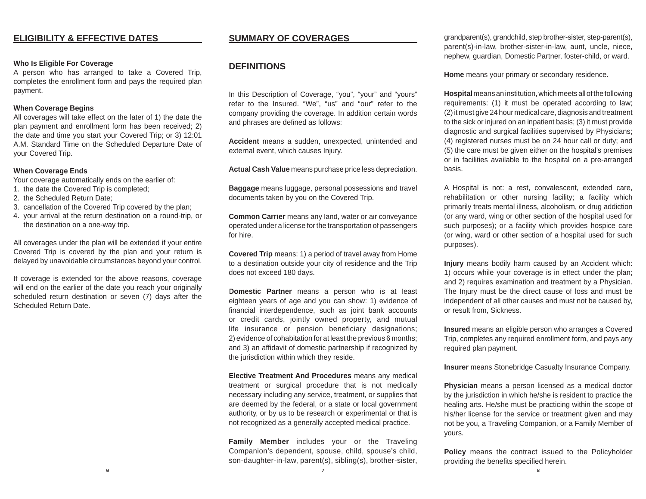#### **Who Is Eli gible For Coverage**

A person who has arranged to take a Covered Trip, completes the enrollment form and pays the required plan payment.

#### **When Covera ge Be gins**

All coverages will take effect on the later of 1) the date the plan payment and enrollment form has been received; 2) the date and time you start your Covered Trip; or 3) 12:01 A.M. Standard Time on the Scheduled Departure Date of your Covered Trip.

#### **When Covera ge Ends**

Your coverage automatically ends on the earlier of:

- 1. the date the Covered Trip is completed;
- 2. the Scheduled Return Date;
- 3. cancellation of the Covered Trip covered by the plan;
- 4. your arrival at the return destination on a round-trip, or the destination on a one-way trip.

All coverages under the plan will be extended if your entire Covered Trip is covered by the plan and your return is delayed by unavoidable circumstances beyond your control.

If coverage is extended for the above reasons, coverage will end on the earlier of the date you reach your originally scheduled return destination or seven (7) days after the Scheduled Return Date.

#### **SUMMARY OF COVERAGES**

#### **DEFINITIONS**

In this Description of Coverage, "you", "your" and "yours" refer to the Insured. "We", "us" and "our" refer to the company providing the coverage. In addition certain words and phrases are defined as follows:

**Accident** means a sudden, unexpected, unintended and external event, which causes Injury.

**Actual Cash Value** means purchase price less depreciation.

**Baggage** means luggage, personal possessions and travel documents taken by you on the Covered Trip.

**Common Carrier** means any land, water or air conveyance operated under a license for the transportation of passengers for hire.

**Covered Trip** means: 1) a period of travel away from Home to a destination outside your city of residence and the Trip does not exceed 180 days.

**Domestic Partner** means a person who is at least eighteen years of age and you can show: 1) evidence of financial interdependence, such as joint bank accounts or credit cards, jointly owned property, and mutual life insurance or pension beneficiary designations; 2) evidence of cohabitation for at least the previous 6 months; and 3) an affidavit of domestic partnership if recognized by the jurisdiction within which they reside.

**Elective Treatment And Procedures** means any medical treatment or surgical procedure that is not medically necessary including any service, treatment, or supplies that are deemed by the federal, or a state or local government authority, or by us to be research or experimental or that is not recognized as a generally accepted medical practice.

**Famil y Member** includes your or the Traveling Companion's dependent, spouse, child, spouse's child, son-daughter-in-law, parent(s), sibling(s), brother-sister, grandparent(s), grandchild, step brother-sister, step-parent(s), parent(s)-in-law, brother-sister-in-law, aunt, uncle, niece, nephew, guardian, Domestic Partner, foster-child, or ward.

**Home** means your primary or secondary residence.

**Hos pital** means an institution, which meets all of the following requirements: (1) it must be operated according to law; (2) it must give 24 hour medical care, diagnosis and treatment to the sick or injured on an inpatient basis; (3) it must provide diagnostic and surgical facilities supervised by Physicians; (4) registered nurses must be on 24 hour call or duty; and (5) the care must be given either on the hospital's premises or in facilities available to the hospital on a pre-arranged basis.

A Hospital is not: a rest, convalescent, extended care, rehabilitation or other nursing facility; a facility which primarily treats mental illness, alcoholism, or drug addiction (or any ward, wing or other section of the hospital used for such purposes); or a facility which provides hospice care (or wing, ward or other section of a hospital used for such purposes).

**Injur y** means bodily harm caused by an Accident which: 1) occurs while your coverage is in effect under the plan; and 2) requires examination and treatment by a Physician. The Injury must be the direct cause of loss and must be independent of all other causes and must not be caused by, or result from, Sickness.

**Insured** means an eligible person who arranges a Covered Trip, completes any required enrollment form, and pays any required plan payment.

**Insurer** means Stonebridge Casualty Insurance Company.

**Physician** means a person licensed as a medical doctor by the jurisdiction in which he/she is resident to practice the healing arts. He/she must be practicing within the scope of his/her license for the service or treatment given and may not be you, a Traveling Companion, or a Family Member of yours.

**Polic y** means the contract issued to the Policyholder providing the benefits specified herein.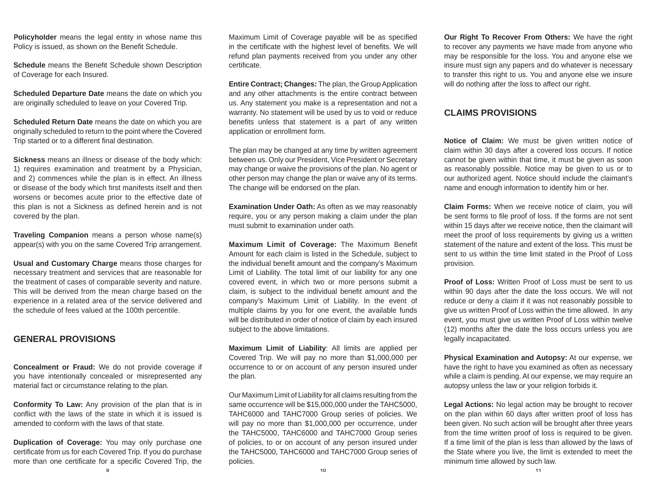**Policyholder** means the legal entity in whose name this Policy is issued, as shown on the Benefit Schedule.

**Schedule** means the Benefit Schedule shown Description of Coverage for each Insured.

**Scheduled Departure Date** means the date on which you are originally scheduled to leave on your Covered Trip.

**Scheduled Return Date** means the date on which you are originally scheduled to return to the point where the Covered Trip started or to a different final destination.

**Sickness** means an illness or disease of the body which: 1) requires examination and treatment by a Physician, and 2) commences while the plan is in effect. An illness or disease of the body which first manifests itself and then worsens or becomes acute prior to the effective date of this plan is not a Sickness as defined herein and is not covered by the plan.

**Traveling Companion** means a person whose name(s) appear(s) with you on the same Covered Trip arrangement.

**Usual and Customary Charge** means those charges for necessary treatment and services that are reasonable for the treatment of cases of comparable severity and nature. This will be derived from the mean charge based on the experience in a related area of the service delivered and the schedule of fees valued at the 100th percentile.

### **GENERAL PROVISIONS**

**Concealment or Fraud:** We do not provide coverage if you have intentionally concealed or misrepresented any material fact or circumstance relating to the plan.

**Conformity To Law:** Any provision of the plan that is in conflict with the laws of the state in which it is issued is amended to conform with the laws of that state.

**Duplication of Coverage:** You may only purchase one certificate from us for each Covered Trip. If you do purchase more than one certificate for a specific Covered Trip, the

Maximum Limit of Coverage payable will be as specified in the certificate with the highest level of benefits. We will refund plan payments received from you under any other certificate.

**Entire Contract; Changes:** The plan, the Group Application and any other attachments is the entire contract between us. Any statement you make is a representation and not a warranty. No statement will be used by us to void or reduce benefits unless that statement is a part of any written application or enrollment form.

The plan may be changed at any time by written agreement between us. Only our President, Vice President or Secretary may change or waive the provisions of the plan. No agent or other person may change the plan or waive any of its terms. The change will be endorsed on the plan.

**Examination Under Oath:** As often as we may reasonably require, you or any person making a claim under the plan must submit to examination under oath.

**Maximum Limit of Coverage: The Maximum Benefit** Amount for each claim is listed in the Schedule, subject to the individual benefit amount and the company's Maximum Limit of Liability. The total limit of our liability for any one covered event, in which two or more persons submit a claim, is subject to the individual benefit amount and the company's Maximum Limit of Liability. In the event of multiple claims by you for one event, the available funds will be distributed in order of notice of claim by each insured subject to the above limitations.

**Maximum Limit of Liability**: All limits are applied per Covered Trip. We will pay no more than \$1,000,000 per occurrence to or on account of any person insured under the plan.

Our Maximum Limit of Liability for all claims resulting from the same occurrence will be \$15,000,000 under the TAHC5000, TAHC6000 and TAHC7000 Group series of policies. We will pay no more than \$1,000,000 per occurrence, under the TAHC5000, TAHC6000 and TAHC7000 Group series of policies, to or on account of any person insured under the TAHC5000, TAHC6000 and TAHC7000 Group series of policies.

**Our Right To Recover From Others:** We have the right to recover any payments we have made from anyone who may be responsible for the loss. You and anyone else we insure must sign any papers and do whatever is necessary to transfer this right to us. You and anyone else we insure will do nothing after the loss to affect our right.

### **CLAIMS PROVISIONS**

**Notice of Claim:** We must be given written notice of claim within 30 days after a covered loss occurs. If notice cannot be given within that time, it must be given as soon as reasonably possible. Notice may be given to us or to our authorized agent. Notice should include the claimant's name and enough information to identify him or her.

**Claim Forms:** When we receive notice of claim, you will be sent forms to file proof of loss. If the forms are not sent within 15 days after we receive notice, then the claimant will meet the proof of loss requirements by giving us a written statement of the nature and extent of the loss. This must be sent to us within the time limit stated in the Proof of Loss provision.

**Proof of Loss:** Written Proof of Loss must be sent to us within 90 days after the date the loss occurs. We will not reduce or deny a claim if it was not reasonably possible to give us written Proof of Loss within the time allowed. In any event, you must give us written Proof of Loss within twelve (12) months after the date the loss occurs unless you are legally incapacitated.

**Physical Examination and Autopsy:** At our expense, we have the right to have you examined as often as necessary while a claim is pending. At our expense, we may require an autopsy unless the law or your religion forbids it.

**Legal Actions:** No legal action may be brought to recover on the plan within 60 days after written proof of loss has been given. No such action will be brought after three years from the time written proof of loss is required to be given. If a time limit of the plan is less than allowed by the laws of the State where you live, the limit is extended to meet the minimum time allowed by such law.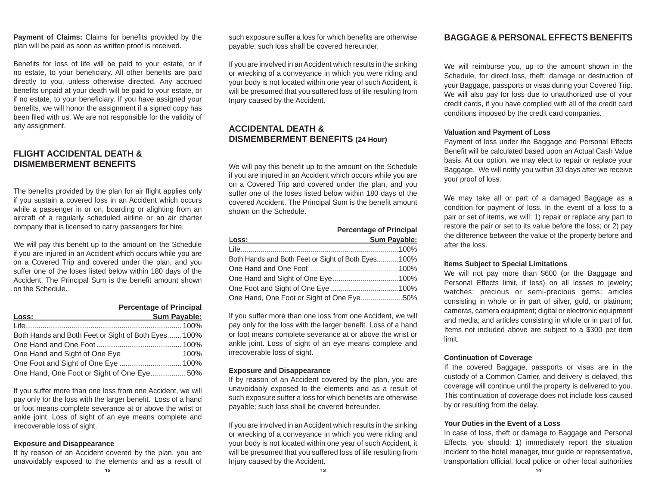**Payment of Claims:** Claims for benefits provided by the plan will be paid as soon as written proof is received.

Benefits for loss of life will be paid to your estate, or if no estate, to your beneficiary. All other benefits are paid directly to you, unless otherwise directed. Any accrued benefits unpaid at your death will be paid to your estate, or if no estate, to your beneficiary. If you have assigned your benefits, we will honor the assignment if a signed copy has been filed with us. We are not responsible for the validity of any assignment.

## **FLIGHT ACCIDENTAL DEATH &DISMEMBERMENT BENEFITS**

The benefits provided by the plan for air flight applies only if you sustain a covered loss in an Accident which occurs while a passenger in or on, boarding or alighting from an aircraft of a regularly scheduled airline or an air charter company that is licensed to carry passengers for hire.

We will pay this benefit up to the amount on the Schedule if you are injured in an Accident which occurs while you are on a Covered Trip and covered under the plan, and you suffer one of the loses listed below within 180 days of the Accident. The Principal Sum is the benefit amount shown on the Schedule.

## **Percenta ge of Principal**

| <u>Loss: ___________________________</u>            | <b>Sum Pavable:</b> |
|-----------------------------------------------------|---------------------|
|                                                     |                     |
| Both Hands and Both Feet or Sight of Both Eyes 100% |                     |
|                                                     |                     |
|                                                     |                     |
|                                                     |                     |
| One Hand, One Foot or Sight of One Eye50%           |                     |

If you suffer more than one loss from one Accident, we will pay only for the loss with the larger benefit. Loss of a hand or foot means complete severance at or above the wrist or ankle joint. Loss of sight of an eye means complete and irrecoverable loss of sight.

#### **E x posure and Disappearance**

If by reason of an Accident covered by the plan, you are unavoidably exposed to the elements and as a result of such exposure suffer a loss for which benefits are otherwise payable; such loss shall be covered hereunder.

If you are involved in an Accident which results in the sinking or wrecking of a conveyance in which you were riding and your body is not located within one year of such Accident, it will be presumed that you suffered loss of life resulting from Injury caused by the Accident.

### **ACCIDENTAL DEATH &DISMEMBERMENT BENEFITS (24 Hour)**

We will pay this benefit up to the amount on the Schedule if you are injured in an Accident which occurs while you are on a Covered Trip and covered under the plan, and you suffer one of the loses listed below within 180 days of the covered Accident. The Principal Sum is the benefit amount shown on the Schedule.

|                                                    | <b>Percentage of Principal</b> |
|----------------------------------------------------|--------------------------------|
|                                                    | Sum Pavable:                   |
|                                                    |                                |
| Both Hands and Both Feet or Sight of Both Eyes100% |                                |
|                                                    |                                |
|                                                    |                                |
|                                                    |                                |
| One Hand, One Foot or Sight of One Eye50%          |                                |

If you suffer more than one loss from one Accident, we will pay only for the loss with the larger benefit. Loss of a hand or foot means complete severance at or above the wrist or ankle joint. Loss of sight of an eye means complete and irrecoverable loss of sight.

#### **E x posure and Disappearance**

If by reason of an Accident covered by the plan, you are unavoidably exposed to the elements and as a result of such exposure suffer a loss for which benefits are otherwise payable; such loss shall be covered hereunder.

If you are involved in an Accident which results in the sinking or wrecking of a conveyance in which you were riding and your body is not located within one year of such Accident, it will be presumed that you suffered loss of life resulting from Injury caused by the Accident.

#### **BAGGAGE & PERSONAL EFFECTS BENEFITS**

We will reimburse you, up to the amount shown in the Schedule, for direct loss, theft, damage or destruction of your Baggage, passports or visas during your Covered Trip. We will also pay for loss due to unauthorized use of your credit cards, if you have complied with all of the credit card conditions imposed by the credit card companies.

#### **Valuation and Pa yment of Loss**

Payment of loss under the Baggage and Personal Effects Benefit will be calculated based upon an Actual Cash Value basis. At our option, we may elect to repair or replace your Baggage. We will notify you within 30 days after we receive your proof of loss.

We may take all or part of a damaged Baggage as a condition for payment of loss. In the event of a loss to a pair or set of items, we will: 1) repair or replace any part to restore the pair or set to its value before the loss; or 2) pay the difference between the value of the property before and after the loss.

#### **Items Subject to Special Limitations**

We will not pay more than \$600 (or the Baggage and Personal Effects limit, if less) on all losses to jewelry; watches; precious or semi-precious gems; articles consisting in whole or in part of silver, gold, or platinum; cameras, camera equipment; digital or electronic equipment and media; and articles consisting in whole or in part of fur. Items not included above are subject to a \$300 per item limit.

#### **Continuation of Coverage**

If the covered Baggage, passports or visas are in the custody of a Common Carrier, and delivery is delayed, this coverage will continue until the property is delivered to you. This continuation of coverage does not include loss caused by or resulting from the delay.

#### **Your Duties in the Event of a Loss**

In case of loss, theft or damage to Baggage and Personal Effects, you should: 1) immediately report the situation incident to the hotel manager, tour guide or representative, transportation official, local police or other local authorities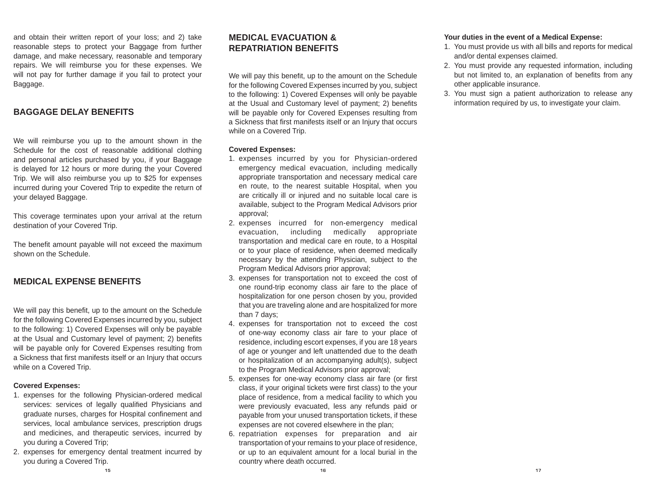and obtain their written report of your loss; and 2) take reasonable steps to protect your Baggage from further damage, and make necessary, reasonable and temporary repairs. We will reimburse you for these expenses. We will not pay for further damage if you fail to protect your Baggage.

#### **BAGGAGE DELAY BENEFITS**

We will reimburse you up to the amount shown in the Schedule for the cost of reasonable additional clothing and personal articles purchased by you, if your Baggage is delayed for 12 hours or more during the your CoveredTrip. We will also reimburse you up to \$25 for expenses incurred during your Covered Trip to expedite the return of your delayed Baggage.

This coverage terminates upon your arrival at the return destination of your Covered Trip.

The benefit amount payable will not exceed the maximum shown on the Schedule.

### **MEDICAL EXPENSE BENEFITS**

We will pay this benefit, up to the amount on the Schedule for the following Covered Expenses incurred by you, subject to the following: 1) Covered Expenses will only be payable at the Usual and Customary level of payment; 2) benefits will be payable only for Covered Expenses resulting from a Sickness that first manifests itself or an Injury that occurs while on a Covered Trip.

#### **Covered Ex penses:**

- 1. expenses for the following Physician-ordered medical services: services of legally qualified Physicians and graduate nurses, charges for Hospital confinement and services, local ambulance services, prescription drugs and medicines, and therapeutic services, incurred by you during a Covered Trip;
- **15**2. expenses for emergency dental treatment incurred by you during a Covered Trip.

### **MEDICAL EVACUATION &REPATRIATION BENEFITS**

We will pay this benefit, up to the amount on the Schedule for the following Covered Expenses incurred by you, subject to the following: 1) Covered Expenses will only be payable at the Usual and Customary level of payment; 2) benefits will be payable only for Covered Expenses resulting from a Sickness that first manifests itself or an Injury that occurs while on a Covered Trip.

#### **Covered Expenses:**

- 1. expenses incurred by you for Physician-ordered emergency medical evacuation, including medically appropriate transportation and necessary medical care en route, to the nearest suitable Hospital, when you are critically ill or injured and no suitable local care is available, subject to the Program Medical Advisors prior approval;
- 2. expenses incurred for non-emergency medical evacuation, including medically appropriate transportation and medical care en route, to a Hospital or to your place of residence, when deemed medically necessary by the attending Physician, subject to the Program Medical Advisors prior approval;
- 3. expenses for transportation not to exceed the cost of one round-trip economy class air fare to the place of hospitalization for one person chosen by you, provided that you are traveling alone and are hospitalized for more than 7 days;
- 4. expenses for transportation not to exceed the cost of one-way economy class air fare to your place of residence, including escort expenses, if you are 18 years of age or younger and left unattended due to the death or hospitalization of an accompanying adult(s), subject to the Program Medical Advisors prior approval;
- 5. expenses for one-way economy class air fare (or first class, if your original tickets were first class) to the your place of residence, from a medical facility to which you were previously evacuated, less any refunds paid or payable from your unused transportation tickets, if these expenses are not covered elsewhere in the plan;
- 6. repatriation expenses for preparation and air transportation of your remains to your place of residence, or up to an equivalent amount for a local burial in the country where death occurred.

#### **Your duties in the event of a Medical Expense:**

- 1. You must provide us with all bills and reports for medical and/or dental expenses claimed.
- 2. You must provide any requested information, including but not limited to, an explanation of benefits from any other applicable insurance.
- 3. You must sign a patient authorization to release any information required by us, to investigate your claim.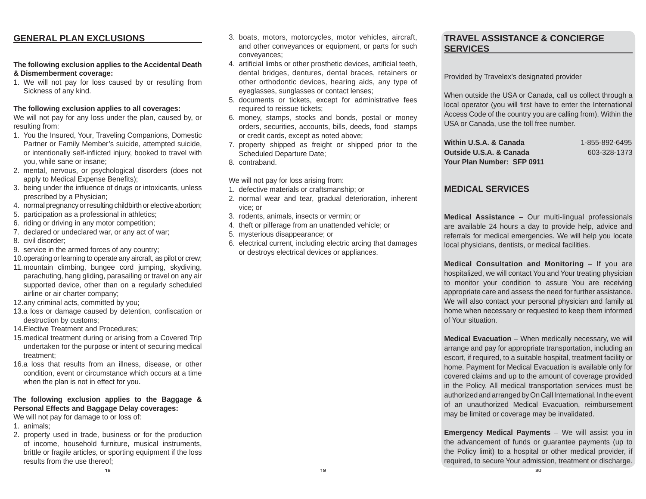### **GENERAL PLAN EXCLUSIONS**

#### **The following exclusion applies to the Accidental Death & Dismemberment coverage:**

1. We will not pay for loss caused by or resulting from Sickness of any kind.

#### **The followin g exclusion applies to all covera ges:**

We will not pay for any loss under the plan, caused by, or resulting from:

- 1. You the Insured, Your, Traveling Companions, Domestic Partner or Family Member's suicide, attempted suicide, or intentionally self-inflicted injury, booked to travel with you, while sane or insane;
- 2. mental, nervous, or psychological disorders (does not apply to Medical Expense Benefits);
- 3. being under the influence of drugs or intoxicants, unless prescribed by a Physician;
- 4. normal pregnancy or resulting childbirth or elective abortion;
- 5. participation as a professional in athletics;
- 6. riding or driving in any motor competition;
- 7. declared or undeclared war, or any act of war;
- 8. civil disorder;
- 9. service in the armed forces of any country;
- 10. operating or learning to operate any aircraft, as pilot or crew;
- 11. mountain climbing, bungee cord jumping, skydiving, parachuting, hang gliding, parasailing or travel on any air supported device, other than on a regularly scheduled airline or air charter company;
- 12. any criminal acts, committed by you;
- 13.a loss or damage caused by detention, confiscation or destruction by customs;
- 14. Elective Treatment and Procedures;
- 15. medical treatment during or arising from a Covered Trip undertaken for the purpose or intent of securing medical treatment;
- 16. a loss that results from an illness, disease, or other condition, event or circumstance which occurs at a time when the plan is not in effect for you.

#### **The followin g exclusion applies to the Baggage & Personal Effects and Baggage Dela y covera ges:**

We will not pay for damage to or loss of:

- 1. animals;
- 2. property used in trade, business or for the production of income, household furniture, musical instruments, brittle or fragile articles, or sporting equipment if the loss results from the use thereof;
- 3. boats, motors, motorcycles, motor vehicles, aircraft, and other conveyances or equipment, or parts for such conveyances;
- 4. artificial limbs or other prosthetic devices, artificial teeth, dental bridges, dentures, dental braces, retainers or other orthodontic devices, hearing aids, any type of eyeglasses, sunglasses or contact lenses;
- 5. documents or tickets, except for administrative fees required to reissue tickets;
- 6. money, stamps, stocks and bonds, postal or money orders, securities, accounts, bills, deeds, food stamps or credit cards, except as noted above;
- 7. property shipped as freight or shipped prior to the Scheduled Departure Date;
- 8. contraband.

We will not pay for loss arising from:

- 1. defective materials or craftsmanship; or
- 2. normal wear and tear, gradual deterioration, inherent vice; or
- 3. rodents, animals, insects or vermin; or
- 4. theft or pilferage from an unattended vehicle; or
- 5. mysterious disappearance; or
- 6. electrical current, including electric arcing that damages or destroys electrical devices or appliances.

### **TRAVEL ASSISTANCE & CONCIERGESERVICES**

Provided by Travelex's designated provider

When outside the U SA or Canada, call us collect through a local operator (you will first have to enter the International Access Code of the country you are calling from). Within the USA or Canada, use the toll free number.

**Within U.S.A. & Canada** 1-855-892-6495 **Outside U.S.A. & Canada** 603-328-1373 **Your Plan Number: SFP 0911**

### **MEDICAL SERVICES**

**Medical Assistance** – Our multi-lingual professionals are available 24 hours a day to provide help, advice and referrals for medical emergencies. We will help you locate local physicians, dentists, or medical facilities.

**Medical Consultation and Monitorin g** – If you are hospitalized, we will contact You and Your treating physician to monitor your condition to assure You are receiving appropriate care and assess the need for further assistance. We will also contact your personal physician and family at home when necessary or requested to keep them informed of Your situation.

**Medical Evacuation** – When medically necessary, we will arrange and pay for appropriate transportation, including an escort, if required, to a suitable hospital, treatment facility or home. Payment for Medical Evacuation is available only for covered claims and up to the amount of coverage provided in the Policy. All medical transportation services must be authorized and arranged byOn Call International. In the event of an unauthorized Medical Evacuation, reimbursement may be limited or coverage may be invalidated.

**Emer genc y Medical Pa yments** – We will assist you in the advancement of funds or guarantee payments (up to the Policy limit) to a hospital or other medical provider, if required, to secure Your admission, treatment or discharge.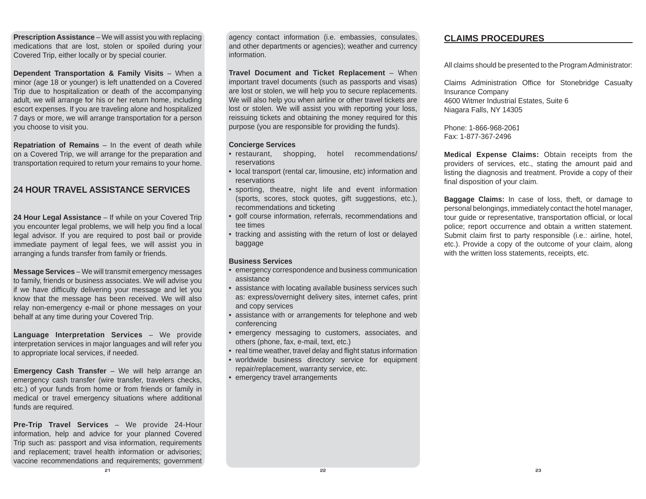**Prescription Assistance** – We will assist you with replacing medications that are lost, stolen or spoiled during your Covered Trip, either locally or by special courier.

**Dependent Transportation & Famil y Visits** – When a minor (age 18 or younger) is left unattended on a Covered Trip due to hospitalization or death of the accompanying adult, we will arrange for his or her return home, including escort expenses. If you are traveling alone and hospitalized 7 days or more, we will arrange transportation for a person you choose to visit you.

**Repatriation of Remains** – In the event of death while on a Covered Trip, we will arrange for the preparation and transportation required to return your remains to your home.

## **24 HOUR TRAVEL ASSISTANCE SERVICES**

**24 Hour Le gal Assistance** – If while on your Covered Trip you encounter legal problems, we will help you find a local legal advisor. If you are required to post bail or provide immediate payment of legal fees, we will assist you in arranging a funds transfer from family or friends.

**Messa ge Services** – We will transmit emergency messages to family, friends or business associates. We will advise you if we have difficulty delivering your message and let you know that the message has been received. We will also relay non-emergency e-mail or phone messages on your behalf at any time during your Covered Trip.

**Langua ge Interpretation Services** – We provide interpretation services in major languages and will refer you to appropriate local services, if needed.

**Emergency Cash Transfer** – We will help arrange an emergency cash transfer (wire transfer, travelers checks, etc.) of your funds from home or from friends or family in medical or travel emergency situations where additional funds are required.

**Pre-Trip Travel Services** – We provide 24-Hour information, help and advice for your planned Covered Trip such as: passport and visa information, requirements and replacement; travel health information or advisories; vaccine recommendations and requirements; government

agency contact information (i.e. embassies, consulates, and other departments or agencies); weather and currency information.

**Travel Document and Ticket Re placement** – When important travel documents (such as passports and visas) are lost or stolen, we will help you to secure replacements. We will also help you when airline or other travel tickets are lost or stolen. We will assist you with reporting your loss, reissuing tickets and obtaining the money required for this purpose (you are responsible for providing the funds).

#### **Concier ge Services**

- restaurant. shopping, hotel recommendations/ reservations
- local transport (rental car, limousine, etc) information and reservations
- • sporting, theatre, night life and event information (sports, scores, stock quotes, gift suggestions, etc.), recommendations and ticketing
- golf course information, referrals, recommendations and tee times
- tracking and assisting with the return of lost or delayed baggage

#### **Business Services**

- emergency correspondence and business communication assistance
- assistance with locating available business services such as: express/overnight delivery sites, internet cafes, print and copy services
- assistance with or arrangements for telephone and web conferencing
- emergency messaging to customers, associates, and others (phone, fax, e-mail, text, etc.)
- real time weather, travel delay and flight status information
- worldwide business directory service for equipment repair/replacement, warranty service, etc.
- emergency travel arrangements

## **CLAIMS PROCEDURES**

All claims should be presented to the Program Administrator:

Claims Administration Office for Stonebridge Casualty Insurance Company 4600 Witmer Industrial Estates, Suite 6Niagara Falls, NY 14305

Phone: 1-866-968-2061Fax: 1-877-367-2496

**Medical Ex pense Claims:** Obtain receipts from the providers of services, etc., stating the amount paid and listing the diagnosis and treatment. Provide a copy of their final disposition of your claim.

**Baggage Claims:** In case of loss, theft, or damage to personal belongings, immediately contact the hotel manager, tour quide or representative, transportation official, or local police; report occurrence and obtain a written statement. Submit claim first to party responsible (i.e.: airline, hotel, etc.). Provide a copy of the outcome of your claim, along with the written loss statements, receipts, etc.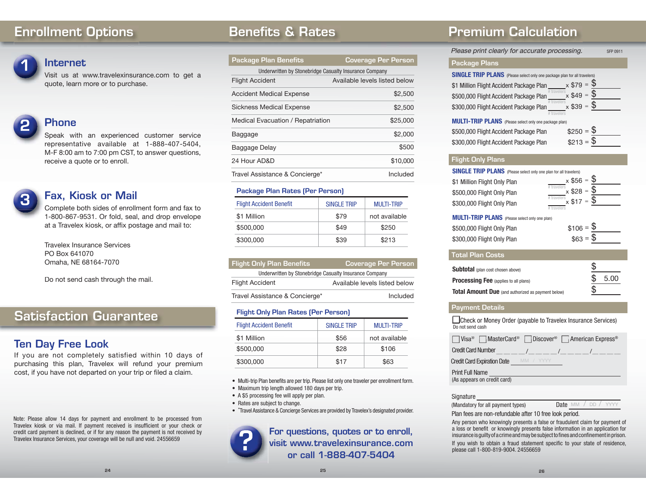## **Enrollment Options**



**Internet**

Visit us at www.travelexinsurance.com to get a quote, learn more or to purchase.

## **Phone**

Speak with an experienced customer service representative available at 1-888-407-5404, M-F 8:00 am to 7:00 pm CST, to answer questions, receive a quote or to enroll.

### **Fax, Kiosk or Mail**

Complete both sides of enrollment form and fax to 1-800-867-9531. Or fold, seal, and drop envelope at a Travelex kiosk, or affix postage and mail to:

Travelex Insurance ServicesPO Box 641070Omaha, NE 68164-7070

Do not send cash through the mail.

## **Satisfaction Guarantee**

## **Ten Day Free Look**

If you are not completely satisfied within 10 days of purchasing this plan, Travelex will refund your premium cost, if you have not departed on your trip or filed a claim.

Note: Please allow 14 days for payment and enrollment to be processed from Travelex kiosk or via mail. If payment received is insufficient or your check or credit card payment is declined, or if for any reason the payment is not received by Travelex Insurance Services, your coverage will be null and void. 24556659

## **Benefits & Rates**

| <b>Package Plan Benefits</b>                           | <b>Coverage Per Person</b>    |
|--------------------------------------------------------|-------------------------------|
| Underwritten by Stonebridge Casualty Insurance Company |                               |
| <b>Flight Accident</b>                                 | Available levels listed below |
| <b>Accident Medical Expense</b>                        | \$2,500                       |
| Sickness Medical Expense                               | \$2.500                       |
| Medical Evacuation / Repatriation                      | \$25,000                      |
| Baggage                                                | \$2,000                       |
| Baggage Delay                                          | \$500                         |
| 24 Hour AD&D                                           | \$10,000                      |
| Travel Assistance & Concierge*                         | Included                      |
|                                                        |                               |

#### **Package Plan Rates (Per Person)**

| <b>Flight Accident Benefit</b> | <b>SINGLE TRIP</b> | <b>MULTI-TRIP</b> |
|--------------------------------|--------------------|-------------------|
| \$1 Million                    | \$79               | not available     |
| \$500,000                      | \$49               | \$250             |
| \$300,000                      | \$39               | \$213             |

| <b>Flight Only Plan Benefits</b>                       | Coverage Per Person           |  |  |
|--------------------------------------------------------|-------------------------------|--|--|
| Underwritten by Stonebridge Casualty Insurance Company |                               |  |  |
| <b>Flight Accident</b>                                 | Available levels listed below |  |  |
| Travel Assistance & Concierge*                         | Included                      |  |  |

#### **Flight Only Plan Rates (Per Person)**

| <b>Flight Accident Benefit</b> | SINGLE TRIP | <b>MULTI-TRIP</b> |
|--------------------------------|-------------|-------------------|
| \$1 Million                    | \$56        | not available     |
| \$500,000                      | \$28        | \$106             |
| \$300,000                      | \$17        | \$63              |

- Multi-trip Plan benefits are per trip. Please list only one traveler per enrollment form.
- Maximum trip length allowed 180 days per trip.
- A \$5 processing fee will apply per plan.
- Rates are subject to change.
- \*Travel Assistance & Concierge Services are provided by Travelex's designated provider.

**For questions, quotes or to enroll, visit www.travelexinsurance.com or call 1-888-407-5404**

## **Premium Calculation**

Please print clearly for accurate processing. SFP 0911

#### **Package Plans**

| <b>SINGLE TRIP PLANS</b> (Please select only one package plan for all travelers) |                       |
|----------------------------------------------------------------------------------|-----------------------|
| \$1 Million Flight Accident Package Plan                                         | $x $79 =$             |
| \$500,000 Flight Accident Package Plan                                           | $x $49 = $$           |
| \$300,000 Flight Accident Package Plan                                           | $x $39 = $$           |
|                                                                                  |                       |
| <b>MULTI-TRIP PLANS</b> (Please select only one package plan)                    |                       |
| \$500,000 Flight Accident Package Plan                                           | $$250 = $$            |
| \$300,000 Flight Accident Package Plan                                           | $$213 = \overline{$}$ |

### **Flight Only Plans**

| <b>SINGLE TRIP PLANS</b> (Please select only one plan for all travelers) |                                      |  |  |
|--------------------------------------------------------------------------|--------------------------------------|--|--|
| \$1 Million Flight Only Plan                                             | $x $56 = $$                          |  |  |
| \$500,000 Flight Only Plan                                               | $\frac{44}{4}$ travelers x \$28 = \$ |  |  |
| \$300,000 Flight Only Plan                                               | $#$ travelers $x$ \$17 = \$          |  |  |
|                                                                          | # travelers                          |  |  |

## **MULTI-TRIP PLANS** (Please select only one plan)

| \$500,000 Flight Only Plan | $$106 = $$ |
|----------------------------|------------|
| \$300,000 Flight Only Plan | $$63 = $$  |
|                            |            |

 $\overline{a}$ 

| <b>Total Plan Costs</b>                                   |    |      |
|-----------------------------------------------------------|----|------|
| <b>Subtotal</b> (plan cost chosen above)                  | \$ |      |
| <b>Processing Fee</b> (applies to all plans)              |    | 5.00 |
| <b>Total Amount Due</b> (and authorized as payment below) | S  |      |

#### **Payment Details**

Check or Money Order (payable to Travelex Insurance Services) Do not send cash

| □ Visa <sup>®</sup> □ MasterCard <sup>®</sup> □ Discover <sup>®</sup> □ American Express <sup>®</sup> |  |  |
|-------------------------------------------------------------------------------------------------------|--|--|
| <b>Credit Card Number</b>                                                                             |  |  |
| <b>Credit Card Expiration Date</b> MM / YYYY                                                          |  |  |
| <b>Print Full Name</b><br>(As appears on credit card)                                                 |  |  |

#### Signature

(Mandatory for all payment types) MM / DD / YYYY

Plan fees are non-refundable after 10 free look period.

Any person who knowingly presents a false or fraudulent claim for payment of a loss or benefit or knowingly presents false information in an application for insurance is guilty of a crime and may be subject to fines and confinement in prison. If you wish to obtain a fraud statement specific to your state of residence, please call 1-800-819-9004. 24556659